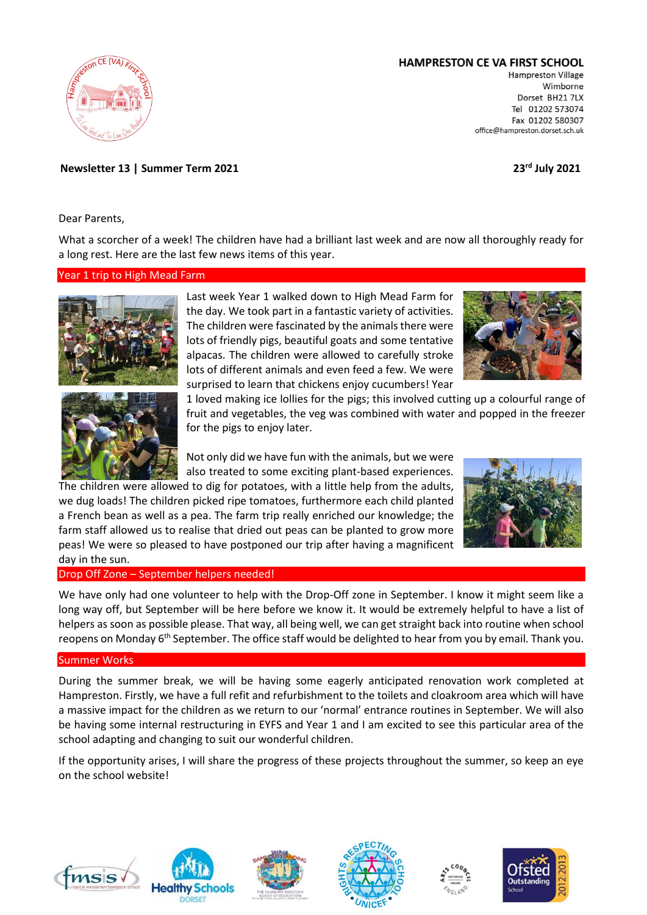

# **HAMPRESTON CE VA FIRST SCHOOL**

Hampreston Village Wimborne Dorset BH21 7LX Tel 01202 573074 Fax 01202 580307 office@hampreston.dorset.sch.uk

# **Newsletter 13 | Summer Term 2021 23rd July 2021**

Dear Parents,

What a scorcher of a week! The children have had a brilliant last week and are now all thoroughly ready for a long rest. Here are the last few news items of this year.

# Year 1 trip to High Mead Farm





Last week Year 1 walked down to High Mead Farm for the day. We took part in a fantastic variety of activities. The children were fascinated by the animals there were lots of friendly pigs, beautiful goats and some tentative alpacas. The children were allowed to carefully stroke lots of different animals and even feed a few. We were surprised to learn that chickens enjoy cucumbers! Year



1 loved making ice lollies for the pigs; this involved cutting up a colourful range of fruit and vegetables, the veg was combined with water and popped in the freezer for the pigs to enjoy later.

Not only did we have fun with the animals, but we were also treated to some exciting plant-based experiences.

The children were allowed to dig for potatoes, with a little help from the adults, we dug loads! The children picked ripe tomatoes, furthermore each child planted a French bean as well as a pea. The farm trip really enriched our knowledge; the farm staff allowed us to realise that dried out peas can be planted to grow more peas! We were so pleased to have postponed our trip after having a magnificent day in the sun.



# Drop Off Zone – September helpers needed!

We have only had one volunteer to help with the Drop-Off zone in September. I know it might seem like a long way off, but September will be here before we know it. It would be extremely helpful to have a list of helpers as soon as possible please. That way, all being well, we can get straight back into routine when school reopens on Monday  $6<sup>th</sup>$  September. The office staff would be delighted to hear from you by email. Thank you.

# Summer Works

During the summer break, we will be having some eagerly anticipated renovation work completed at Hampreston. Firstly, we have a full refit and refurbishment to the toilets and cloakroom area which will have a massive impact for the children as we return to our 'normal' entrance routines in September. We will also be having some internal restructuring in EYFS and Year 1 and I am excited to see this particular area of the school adapting and changing to suit our wonderful children.

If the opportunity arises, I will share the progress of these projects throughout the summer, so keep an eye on the school website!











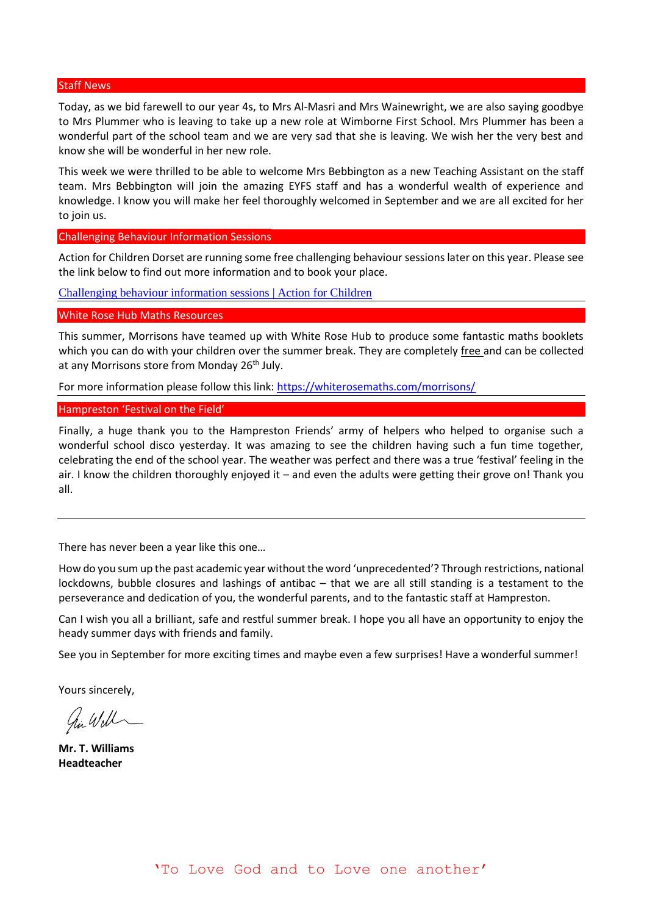#### Staff News

Today, as we bid farewell to our year 4s, to Mrs Al-Masri and Mrs Wainewright, we are also saying goodbye to Mrs Plummer who is leaving to take up a new role at Wimborne First School. Mrs Plummer has been a wonderful part of the school team and we are very sad that she is leaving. We wish her the very best and know she will be wonderful in her new role.

This week we were thrilled to be able to welcome Mrs Bebbington as a new Teaching Assistant on the staff team. Mrs Bebbington will join the amazing EYFS staff and has a wonderful wealth of experience and knowledge. I know you will make her feel thoroughly welcomed in September and we are all excited for her to join us.

Challenging Behaviour Information Sessions

Action for Children Dorset are running some free challenging behaviour sessions later on this year. Please see the link below to find out more information and to book your place.

[Challenging behaviour information sessions | Action for Children](https://services.actionforchildren.org.uk/dorset-services/for-parents-and-carers/behaviours-that-challenge-us-workshops/)

### White Rose Hub Maths Resources

This summer, Morrisons have teamed up with White Rose Hub to produce some fantastic maths booklets which you can do with your children over the summer break. They are completely free and can be collected at any Morrisons store from Monday 26<sup>th</sup> July.

For more information please follow this link: <https://whiterosemaths.com/morrisons/>

### Hampreston 'Festival on the Field'

Finally, a huge thank you to the Hampreston Friends' army of helpers who helped to organise such a wonderful school disco yesterday. It was amazing to see the children having such a fun time together, celebrating the end of the school year. The weather was perfect and there was a true 'festival' feeling in the air. I know the children thoroughly enjoyed it – and even the adults were getting their grove on! Thank you all.

There has never been a year like this one…

How do you sum up the past academic year without the word 'unprecedented'? Through restrictions, national lockdowns, bubble closures and lashings of antibac – that we are all still standing is a testament to the perseverance and dedication of you, the wonderful parents, and to the fantastic staff at Hampreston.

Can I wish you all a brilliant, safe and restful summer break. I hope you all have an opportunity to enjoy the heady summer days with friends and family.

See you in September for more exciting times and maybe even a few surprises! Have a wonderful summer!

Yours sincerely,

him Will

**Mr. T. Williams Headteacher**